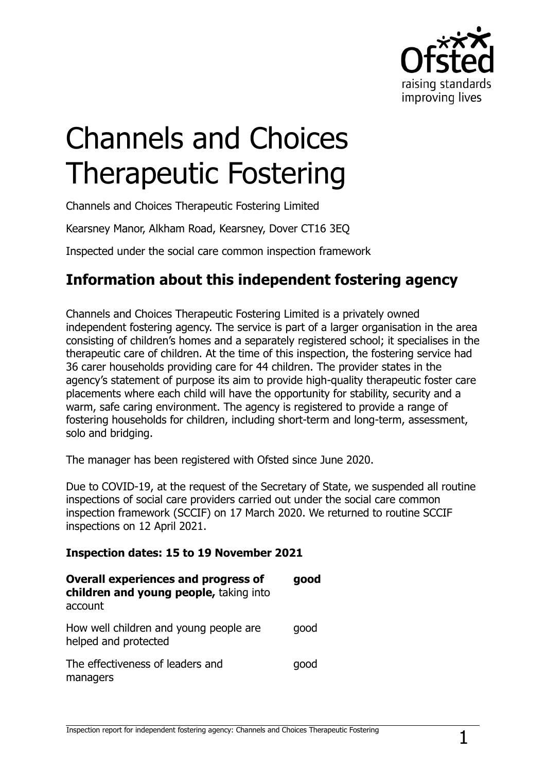

# Channels and Choices Therapeutic Fostering

Channels and Choices Therapeutic Fostering Limited

Kearsney Manor, Alkham Road, Kearsney, Dover CT16 3EQ

Inspected under the social care common inspection framework

## **Information about this independent fostering agency**

Channels and Choices Therapeutic Fostering Limited is a privately owned independent fostering agency. The service is part of a larger organisation in the area consisting of children's homes and a separately registered school; it specialises in the therapeutic care of children. At the time of this inspection, the fostering service had 36 carer households providing care for 44 children. The provider states in the agency's statement of purpose its aim to provide high-quality therapeutic foster care placements where each child will have the opportunity for stability, security and a warm, safe caring environment. The agency is registered to provide a range of fostering households for children, including short-term and long-term, assessment, solo and bridging.

The manager has been registered with Ofsted since June 2020.

Due to COVID-19, at the request of the Secretary of State, we suspended all routine inspections of social care providers carried out under the social care common inspection framework (SCCIF) on 17 March 2020. We returned to routine SCCIF inspections on 12 April 2021.

#### **Inspection dates: 15 to 19 November 2021**

| <b>Overall experiences and progress of</b><br>children and young people, taking into<br>account | good |
|-------------------------------------------------------------------------------------------------|------|
| How well children and young people are<br>helped and protected                                  | qood |
| The effectiveness of leaders and<br>managers                                                    | qood |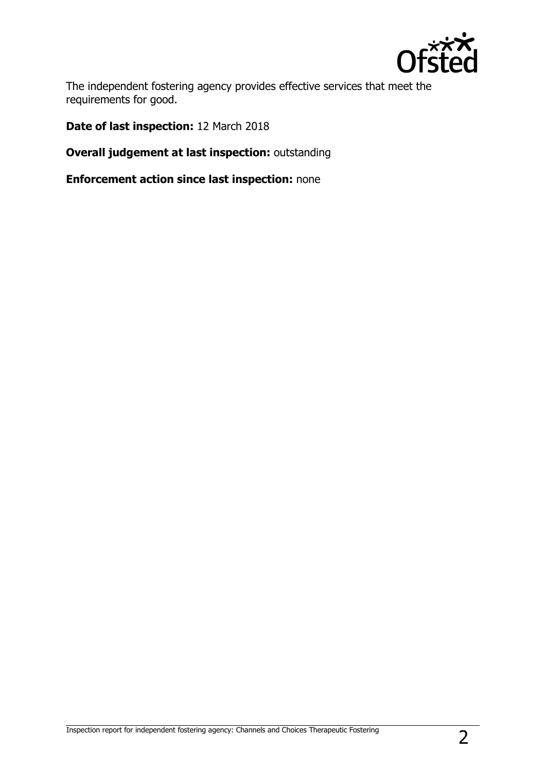

The independent fostering agency provides effective services that meet the requirements for good.

**Date of last inspection:** 12 March 2018

**Overall judgement at last inspection:** outstanding

**Enforcement action since last inspection:** none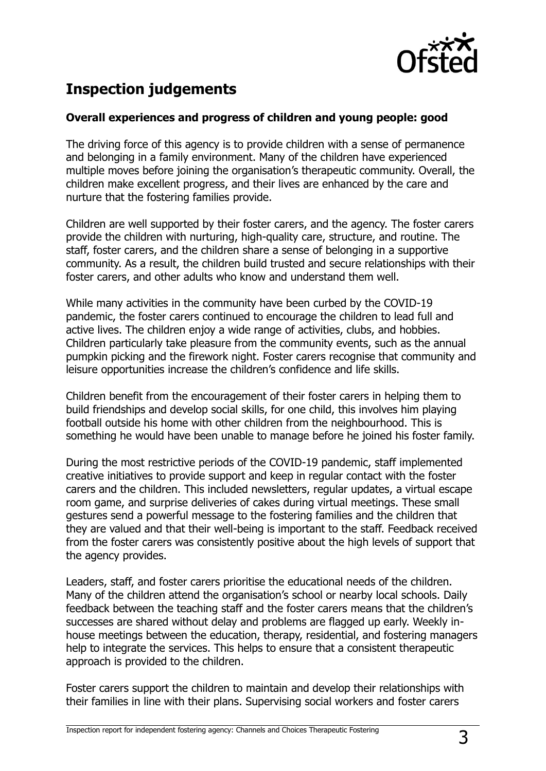

## **Inspection judgements**

#### **Overall experiences and progress of children and young people: good**

The driving force of this agency is to provide children with a sense of permanence and belonging in a family environment. Many of the children have experienced multiple moves before joining the organisation's therapeutic community. Overall, the children make excellent progress, and their lives are enhanced by the care and nurture that the fostering families provide.

Children are well supported by their foster carers, and the agency. The foster carers provide the children with nurturing, high-quality care, structure, and routine. The staff, foster carers, and the children share a sense of belonging in a supportive community. As a result, the children build trusted and secure relationships with their foster carers, and other adults who know and understand them well.

While many activities in the community have been curbed by the COVID-19 pandemic, the foster carers continued to encourage the children to lead full and active lives. The children enjoy a wide range of activities, clubs, and hobbies. Children particularly take pleasure from the community events, such as the annual pumpkin picking and the firework night. Foster carers recognise that community and leisure opportunities increase the children's confidence and life skills.

Children benefit from the encouragement of their foster carers in helping them to build friendships and develop social skills, for one child, this involves him playing football outside his home with other children from the neighbourhood. This is something he would have been unable to manage before he joined his foster family.

During the most restrictive periods of the COVID-19 pandemic, staff implemented creative initiatives to provide support and keep in regular contact with the foster carers and the children. This included newsletters, regular updates, a virtual escape room game, and surprise deliveries of cakes during virtual meetings. These small gestures send a powerful message to the fostering families and the children that they are valued and that their well-being is important to the staff. Feedback received from the foster carers was consistently positive about the high levels of support that the agency provides.

Leaders, staff, and foster carers prioritise the educational needs of the children. Many of the children attend the organisation's school or nearby local schools. Daily feedback between the teaching staff and the foster carers means that the children's successes are shared without delay and problems are flagged up early. Weekly inhouse meetings between the education, therapy, residential, and fostering managers help to integrate the services. This helps to ensure that a consistent therapeutic approach is provided to the children.

Foster carers support the children to maintain and develop their relationships with their families in line with their plans. Supervising social workers and foster carers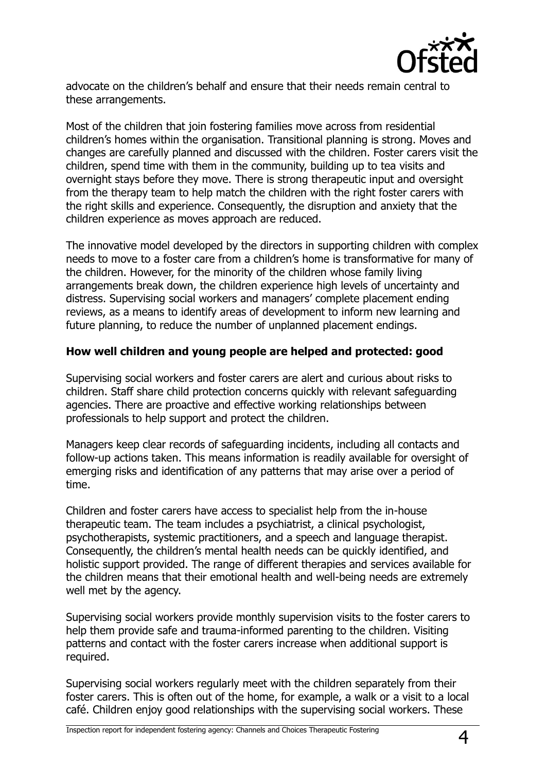

advocate on the children's behalf and ensure that their needs remain central to these arrangements.

Most of the children that join fostering families move across from residential children's homes within the organisation. Transitional planning is strong. Moves and changes are carefully planned and discussed with the children. Foster carers visit the children, spend time with them in the community, building up to tea visits and overnight stays before they move. There is strong therapeutic input and oversight from the therapy team to help match the children with the right foster carers with the right skills and experience. Consequently, the disruption and anxiety that the children experience as moves approach are reduced.

The innovative model developed by the directors in supporting children with complex needs to move to a foster care from a children's home is transformative for many of the children. However, for the minority of the children whose family living arrangements break down, the children experience high levels of uncertainty and distress. Supervising social workers and managers' complete placement ending reviews, as a means to identify areas of development to inform new learning and future planning, to reduce the number of unplanned placement endings.

#### **How well children and young people are helped and protected: good**

Supervising social workers and foster carers are alert and curious about risks to children. Staff share child protection concerns quickly with relevant safeguarding agencies. There are proactive and effective working relationships between professionals to help support and protect the children.

Managers keep clear records of safeguarding incidents, including all contacts and follow-up actions taken. This means information is readily available for oversight of emerging risks and identification of any patterns that may arise over a period of time.

Children and foster carers have access to specialist help from the in-house therapeutic team. The team includes a psychiatrist, a clinical psychologist, psychotherapists, systemic practitioners, and a speech and language therapist. Consequently, the children's mental health needs can be quickly identified, and holistic support provided. The range of different therapies and services available for the children means that their emotional health and well-being needs are extremely well met by the agency.

Supervising social workers provide monthly supervision visits to the foster carers to help them provide safe and trauma-informed parenting to the children. Visiting patterns and contact with the foster carers increase when additional support is required.

Supervising social workers regularly meet with the children separately from their foster carers. This is often out of the home, for example, a walk or a visit to a local café. Children enjoy good relationships with the supervising social workers. These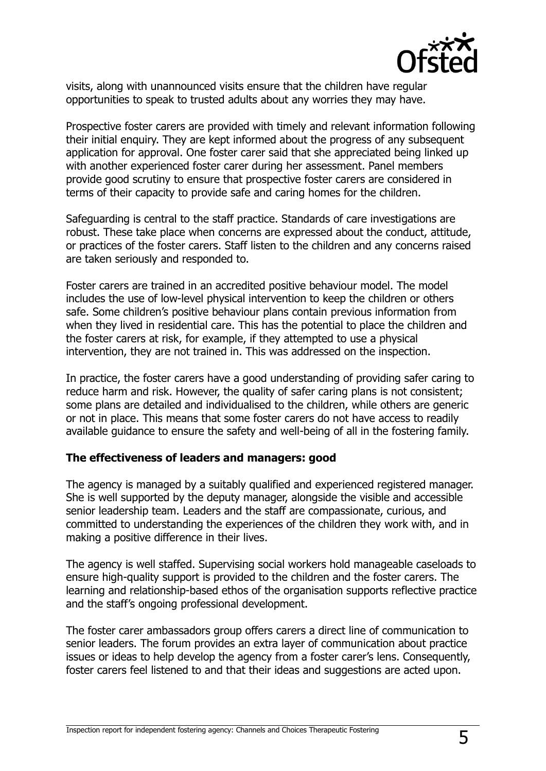

visits, along with unannounced visits ensure that the children have regular opportunities to speak to trusted adults about any worries they may have.

Prospective foster carers are provided with timely and relevant information following their initial enquiry. They are kept informed about the progress of any subsequent application for approval. One foster carer said that she appreciated being linked up with another experienced foster carer during her assessment. Panel members provide good scrutiny to ensure that prospective foster carers are considered in terms of their capacity to provide safe and caring homes for the children.

Safeguarding is central to the staff practice. Standards of care investigations are robust. These take place when concerns are expressed about the conduct, attitude, or practices of the foster carers. Staff listen to the children and any concerns raised are taken seriously and responded to.

Foster carers are trained in an accredited positive behaviour model. The model includes the use of low-level physical intervention to keep the children or others safe. Some children's positive behaviour plans contain previous information from when they lived in residential care. This has the potential to place the children and the foster carers at risk, for example, if they attempted to use a physical intervention, they are not trained in. This was addressed on the inspection.

In practice, the foster carers have a good understanding of providing safer caring to reduce harm and risk. However, the quality of safer caring plans is not consistent; some plans are detailed and individualised to the children, while others are generic or not in place. This means that some foster carers do not have access to readily available guidance to ensure the safety and well-being of all in the fostering family.

#### **The effectiveness of leaders and managers: good**

The agency is managed by a suitably qualified and experienced registered manager. She is well supported by the deputy manager, alongside the visible and accessible senior leadership team. Leaders and the staff are compassionate, curious, and committed to understanding the experiences of the children they work with, and in making a positive difference in their lives.

The agency is well staffed. Supervising social workers hold manageable caseloads to ensure high-quality support is provided to the children and the foster carers. The learning and relationship-based ethos of the organisation supports reflective practice and the staff's ongoing professional development.

The foster carer ambassadors group offers carers a direct line of communication to senior leaders. The forum provides an extra layer of communication about practice issues or ideas to help develop the agency from a foster carer's lens. Consequently, foster carers feel listened to and that their ideas and suggestions are acted upon.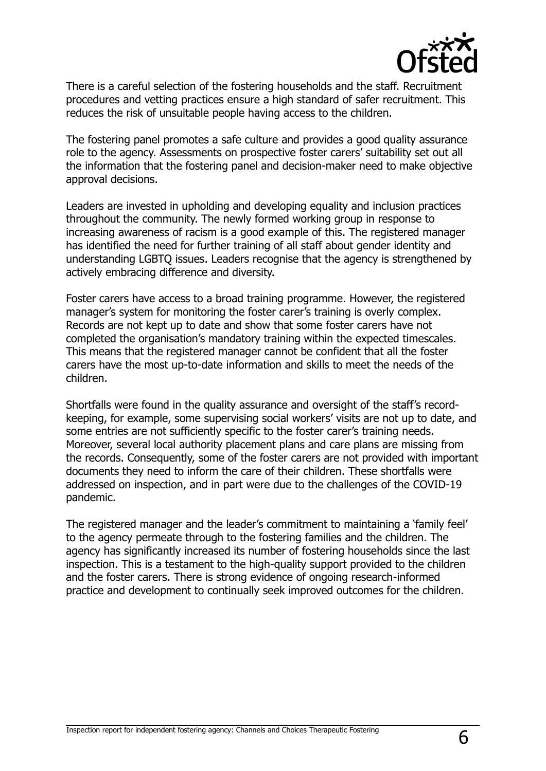

There is a careful selection of the fostering households and the staff. Recruitment procedures and vetting practices ensure a high standard of safer recruitment. This reduces the risk of unsuitable people having access to the children.

The fostering panel promotes a safe culture and provides a good quality assurance role to the agency. Assessments on prospective foster carers' suitability set out all the information that the fostering panel and decision-maker need to make objective approval decisions.

Leaders are invested in upholding and developing equality and inclusion practices throughout the community. The newly formed working group in response to increasing awareness of racism is a good example of this. The registered manager has identified the need for further training of all staff about gender identity and understanding LGBTQ issues. Leaders recognise that the agency is strengthened by actively embracing difference and diversity.

Foster carers have access to a broad training programme. However, the registered manager's system for monitoring the foster carer's training is overly complex. Records are not kept up to date and show that some foster carers have not completed the organisation's mandatory training within the expected timescales. This means that the registered manager cannot be confident that all the foster carers have the most up-to-date information and skills to meet the needs of the children.

Shortfalls were found in the quality assurance and oversight of the staff's recordkeeping, for example, some supervising social workers' visits are not up to date, and some entries are not sufficiently specific to the foster carer's training needs. Moreover, several local authority placement plans and care plans are missing from the records. Consequently, some of the foster carers are not provided with important documents they need to inform the care of their children. These shortfalls were addressed on inspection, and in part were due to the challenges of the COVID-19 pandemic.

The registered manager and the leader's commitment to maintaining a 'family feel' to the agency permeate through to the fostering families and the children. The agency has significantly increased its number of fostering households since the last inspection. This is a testament to the high-quality support provided to the children and the foster carers. There is strong evidence of ongoing research-informed practice and development to continually seek improved outcomes for the children.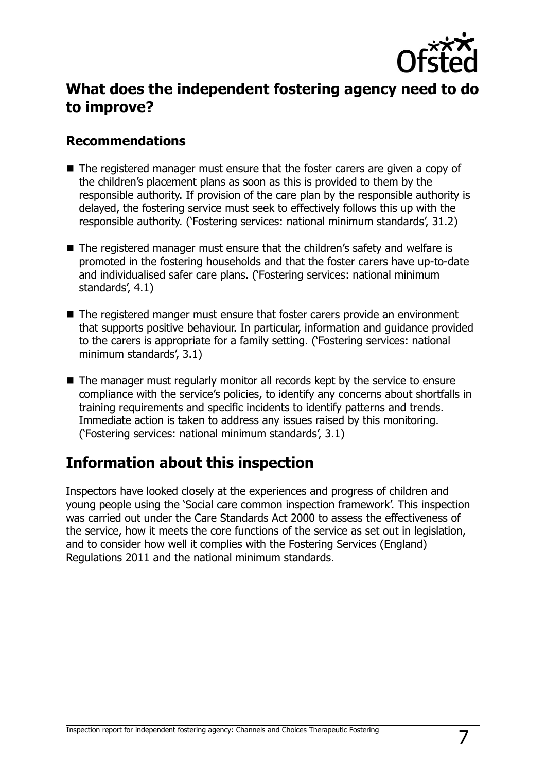

## **What does the independent fostering agency need to do to improve?**

### **Recommendations**

- The registered manager must ensure that the foster carers are given a copy of the children's placement plans as soon as this is provided to them by the responsible authority. If provision of the care plan by the responsible authority is delayed, the fostering service must seek to effectively follows this up with the responsible authority. ('Fostering services: national minimum standards', 31.2)
- The registered manager must ensure that the children's safety and welfare is promoted in the fostering households and that the foster carers have up-to-date and individualised safer care plans. ('Fostering services: national minimum standards', 4.1)
- The registered manger must ensure that foster carers provide an environment that supports positive behaviour. In particular, information and guidance provided to the carers is appropriate for a family setting. ('Fostering services: national minimum standards', 3.1)
- The manager must regularly monitor all records kept by the service to ensure compliance with the service's policies, to identify any concerns about shortfalls in training requirements and specific incidents to identify patterns and trends. Immediate action is taken to address any issues raised by this monitoring. ('Fostering services: national minimum standards', 3.1)

## **Information about this inspection**

Inspectors have looked closely at the experiences and progress of children and young people using the 'Social care common inspection framework'. This inspection was carried out under the Care Standards Act 2000 to assess the effectiveness of the service, how it meets the core functions of the service as set out in legislation, and to consider how well it complies with the Fostering Services (England) Regulations 2011 and the national minimum standards.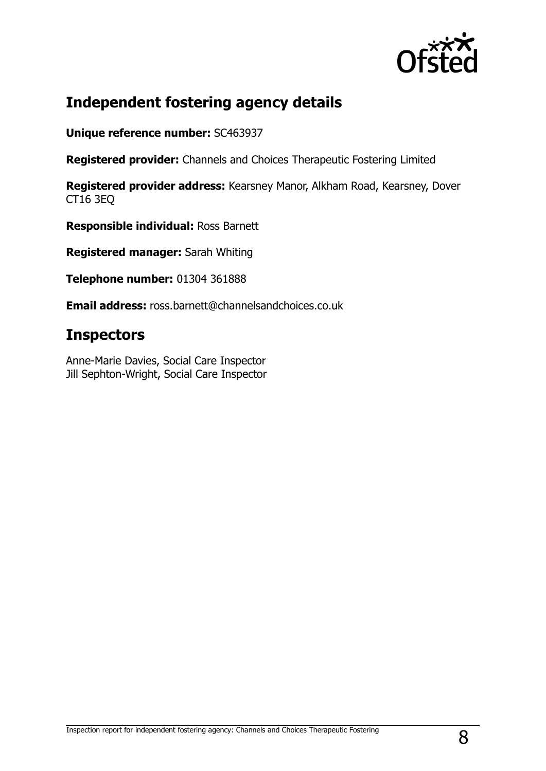

## **Independent fostering agency details**

**Unique reference number:** SC463937

**Registered provider:** Channels and Choices Therapeutic Fostering Limited

**Registered provider address:** Kearsney Manor, Alkham Road, Kearsney, Dover CT16 3EQ

**Responsible individual:** Ross Barnett

**Registered manager:** Sarah Whiting

**Telephone number:** 01304 361888

**Email address:** ross.barnett@channelsandchoices.co.uk

## **Inspectors**

Anne-Marie Davies, Social Care Inspector Jill Sephton-Wright, Social Care Inspector